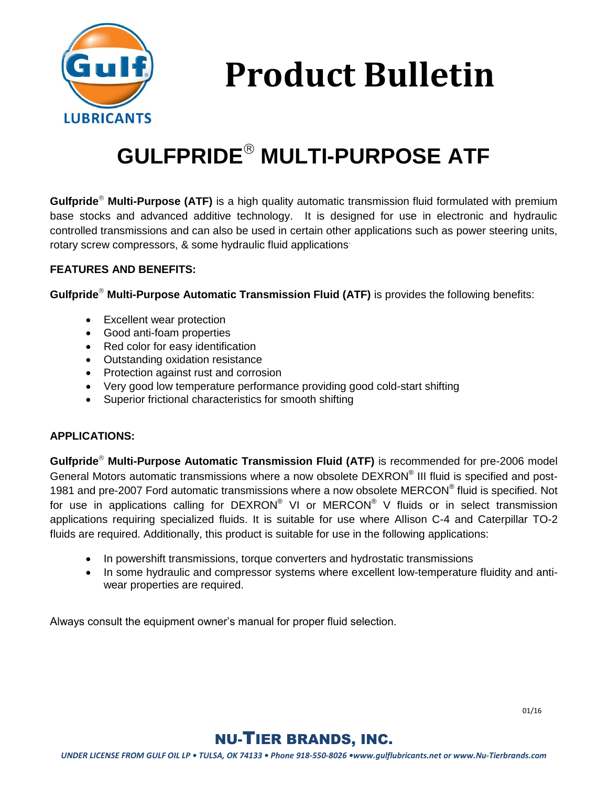

**Product Bulletin**

# **GULFPRIDE MULTI-PURPOSE ATF**

**Gulfpride Multi-Purpose (ATF)** is a high quality automatic transmission fluid formulated with premium base stocks and advanced additive technology. It is designed for use in electronic and hydraulic controlled transmissions and can also be used in certain other applications such as power steering units, rotary screw compressors, & some hydraulic fluid applications.

#### **FEATURES AND BENEFITS:**

**Gulfpride Multi-Purpose Automatic Transmission Fluid (ATF)** is provides the following benefits:

- Excellent wear protection
- Good anti-foam properties
- Red color for easy identification
- Outstanding oxidation resistance
- Protection against rust and corrosion
- Very good low temperature performance providing good cold-start shifting
- Superior frictional characteristics for smooth shifting

#### **APPLICATIONS:**

**Gulfpride Multi-Purpose Automatic Transmission Fluid (ATF)** is recommended for pre-2006 model General Motors automatic transmissions where a now obsolete DEXRON® III fluid is specified and post-1981 and pre-2007 Ford automatic transmissions where a now obsolete MERCON® fluid is specified. Not for use in applications calling for  $DEXRON^@$  VI or  $MERCON^@$  V fluids or in select transmission applications requiring specialized fluids. It is suitable for use where Allison C-4 and Caterpillar TO-2 fluids are required. Additionally, this product is suitable for use in the following applications:

- In powershift transmissions, torque converters and hydrostatic transmissions
- In some hydraulic and compressor systems where excellent low-temperature fluidity and antiwear properties are required.

Always consult the equipment owner's manual for proper fluid selection.



## NU-TIER BRANDS, INC.